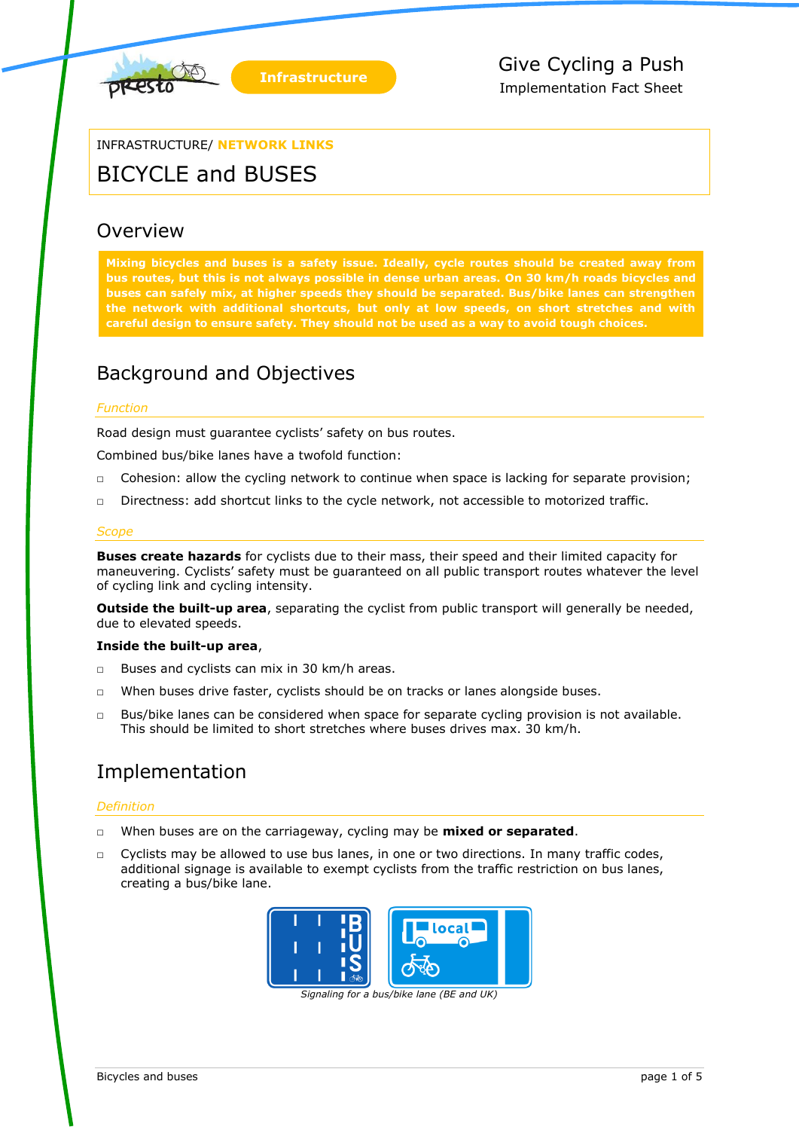

# INFRASTRUCTURE/ **NETWORK LINKS**

# BICYCLE and BUSES

# **Overview**

**Mixing bicycles and buses is a safety issue. Ideally, cycle routes should be created away from bus routes, but this is not always possible in dense urban areas. On 30 km/h roads bicycles and buses can safely mix, at higher speeds they should be separated. Bus/bike lanes can strengthen the network with additional shortcuts, but only at low speeds, on short stretches and with careful design to ensure safety. They should not be used as a way to avoid tough choices.**

# Background and Objectives

# *Function*

Road design must guarantee cyclists' safety on bus routes.

Combined bus/bike lanes have a twofold function:

- $\Box$  Cohesion: allow the cycling network to continue when space is lacking for separate provision;
- □ Directness: add shortcut links to the cycle network, not accessible to motorized traffic.

## *Scope*

**Buses create hazards** for cyclists due to their mass, their speed and their limited capacity for maneuvering. Cyclists' safety must be guaranteed on all public transport routes whatever the level of cycling link and cycling intensity.

**Outside the built-up area**, separating the cyclist from public transport will generally be needed, due to elevated speeds.

## **Inside the built-up area**,

- □ Buses and cyclists can mix in 30 km/h areas.
- □ When buses drive faster, cyclists should be on tracks or lanes alongside buses.
- $\Box$  Bus/bike lanes can be considered when space for separate cycling provision is not available. This should be limited to short stretches where buses drives max. 30 km/h.

# Implementation

## *Definition*

- □ When buses are on the carriageway, cycling may be **mixed or separated**.
- □ Cyclists may be allowed to use bus lanes, in one or two directions. In many traffic codes, additional signage is available to exempt cyclists from the traffic restriction on bus lanes, creating a bus/bike lane.



*Signaling for a bus/bike lane (BE and UK)*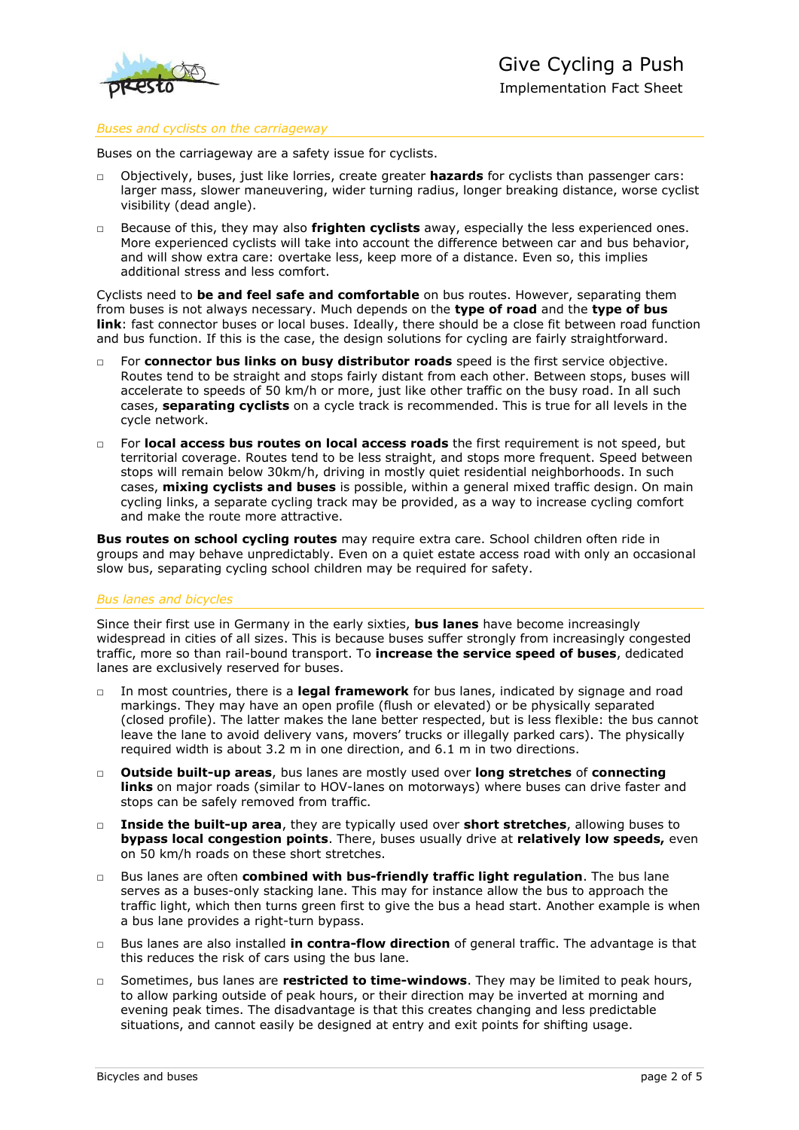

#### *Buses and cyclists on the carriageway*

Buses on the carriageway are a safety issue for cyclists.

- □ Objectively, buses, just like lorries, create greater **hazards** for cyclists than passenger cars: larger mass, slower maneuvering, wider turning radius, longer breaking distance, worse cyclist visibility (dead angle).
- □ Because of this, they may also **frighten cyclists** away, especially the less experienced ones. More experienced cyclists will take into account the difference between car and bus behavior, and will show extra care: overtake less, keep more of a distance. Even so, this implies additional stress and less comfort.

Cyclists need to **be and feel safe and comfortable** on bus routes. However, separating them from buses is not always necessary. Much depends on the **type of road** and the **type of bus link**: fast connector buses or local buses. Ideally, there should be a close fit between road function and bus function. If this is the case, the design solutions for cycling are fairly straightforward.

- □ For **connector bus links on busy distributor roads** speed is the first service objective. Routes tend to be straight and stops fairly distant from each other. Between stops, buses will accelerate to speeds of 50 km/h or more, just like other traffic on the busy road. In all such cases, **separating cyclists** on a cycle track is recommended. This is true for all levels in the cycle network.
- □ For **local access bus routes on local access roads** the first requirement is not speed, but territorial coverage. Routes tend to be less straight, and stops more frequent. Speed between stops will remain below 30km/h, driving in mostly quiet residential neighborhoods. In such cases, **mixing cyclists and buses** is possible, within a general mixed traffic design. On main cycling links, a separate cycling track may be provided, as a way to increase cycling comfort and make the route more attractive.

**Bus routes on school cycling routes** may require extra care. School children often ride in groups and may behave unpredictably. Even on a quiet estate access road with only an occasional slow bus, separating cycling school children may be required for safety.

#### *Bus lanes and bicycles*

Since their first use in Germany in the early sixties, **bus lanes** have become increasingly widespread in cities of all sizes. This is because buses suffer strongly from increasingly congested traffic, more so than rail-bound transport. To **increase the service speed of buses**, dedicated lanes are exclusively reserved for buses.

- □ In most countries, there is a **legal framework** for bus lanes, indicated by signage and road markings. They may have an open profile (flush or elevated) or be physically separated (closed profile). The latter makes the lane better respected, but is less flexible: the bus cannot leave the lane to avoid delivery vans, movers' trucks or illegally parked cars). The physically required width is about 3.2 m in one direction, and 6.1 m in two directions.
- □ **Outside built-up areas**, bus lanes are mostly used over **long stretches** of **connecting links** on major roads (similar to HOV-lanes on motorways) where buses can drive faster and stops can be safely removed from traffic.
- □ **Inside the built-up area**, they are typically used over **short stretches**, allowing buses to **bypass local congestion points**. There, buses usually drive at **relatively low speeds,** even on 50 km/h roads on these short stretches.
- □ Bus lanes are often **combined with bus-friendly traffic light regulation**. The bus lane serves as a buses-only stacking lane. This may for instance allow the bus to approach the traffic light, which then turns green first to give the bus a head start. Another example is when a bus lane provides a right-turn bypass.
- □ Bus lanes are also installed **in contra-flow direction** of general traffic. The advantage is that this reduces the risk of cars using the bus lane.
- □ Sometimes, bus lanes are **restricted to time-windows**. They may be limited to peak hours, to allow parking outside of peak hours, or their direction may be inverted at morning and evening peak times. The disadvantage is that this creates changing and less predictable situations, and cannot easily be designed at entry and exit points for shifting usage.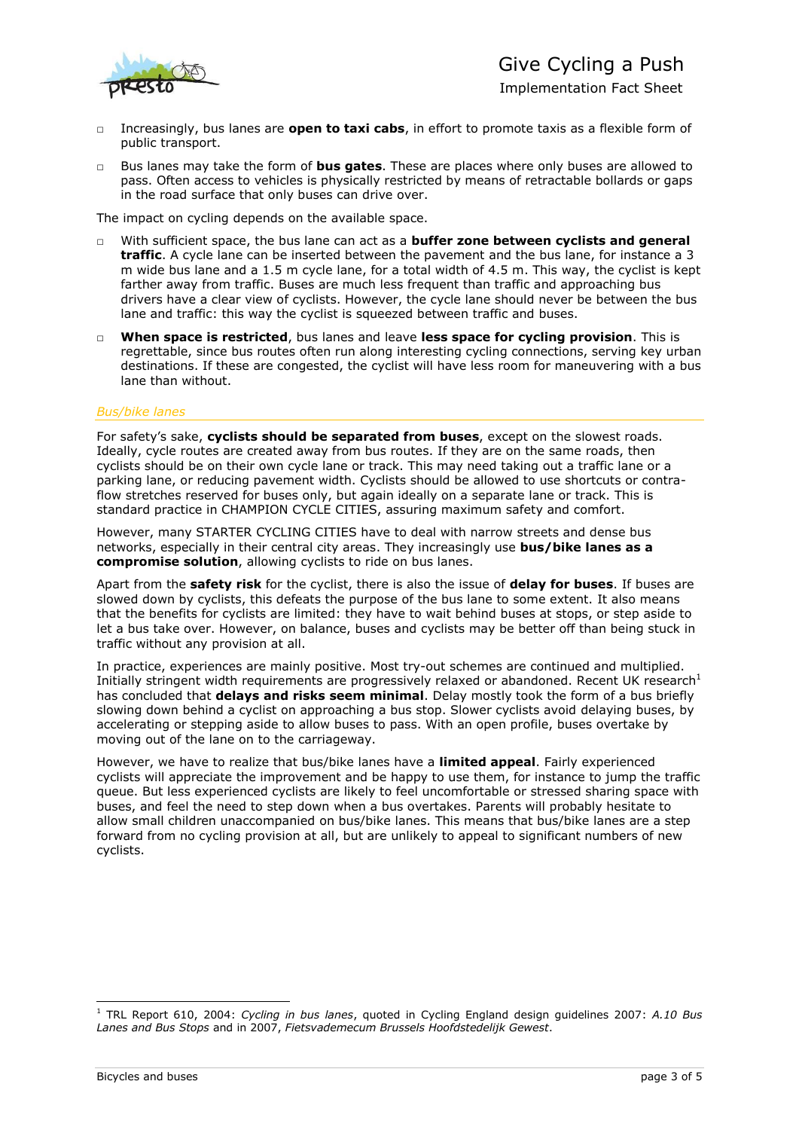# Give Cycling a Push



- Implementation Fact Sheet
- □ Increasingly, bus lanes are **open to taxi cabs**, in effort to promote taxis as a flexible form of public transport.
- □ Bus lanes may take the form of **bus gates**. These are places where only buses are allowed to pass. Often access to vehicles is physically restricted by means of retractable bollards or gaps in the road surface that only buses can drive over.

The impact on cycling depends on the available space.

- □ With sufficient space, the bus lane can act as a **buffer zone between cyclists and general traffic**. A cycle lane can be inserted between the pavement and the bus lane, for instance a 3 m wide bus lane and a 1.5 m cycle lane, for a total width of 4.5 m. This way, the cyclist is kept farther away from traffic. Buses are much less frequent than traffic and approaching bus drivers have a clear view of cyclists. However, the cycle lane should never be between the bus lane and traffic: this way the cyclist is squeezed between traffic and buses.
- □ **When space is restricted**, bus lanes and leave **less space for cycling provision**. This is regrettable, since bus routes often run along interesting cycling connections, serving key urban destinations. If these are congested, the cyclist will have less room for maneuvering with a bus lane than without.

## *Bus/bike lanes*

For safety's sake, **cyclists should be separated from buses**, except on the slowest roads. Ideally, cycle routes are created away from bus routes. If they are on the same roads, then cyclists should be on their own cycle lane or track. This may need taking out a traffic lane or a parking lane, or reducing pavement width. Cyclists should be allowed to use shortcuts or contraflow stretches reserved for buses only, but again ideally on a separate lane or track. This is standard practice in CHAMPION CYCLE CITIES, assuring maximum safety and comfort.

However, many STARTER CYCLING CITIES have to deal with narrow streets and dense bus networks, especially in their central city areas. They increasingly use **bus/bike lanes as a compromise solution**, allowing cyclists to ride on bus lanes.

Apart from the **safety risk** for the cyclist, there is also the issue of **delay for buses**. If buses are slowed down by cyclists, this defeats the purpose of the bus lane to some extent. It also means that the benefits for cyclists are limited: they have to wait behind buses at stops, or step aside to let a bus take over. However, on balance, buses and cyclists may be better off than being stuck in traffic without any provision at all.

In practice, experiences are mainly positive. Most try-out schemes are continued and multiplied. Initially stringent width requirements are progressively relaxed or abandoned. Recent UK research<sup>1</sup> has concluded that **delays and risks seem minimal**. Delay mostly took the form of a bus briefly slowing down behind a cyclist on approaching a bus stop. Slower cyclists avoid delaying buses, by accelerating or stepping aside to allow buses to pass. With an open profile, buses overtake by moving out of the lane on to the carriageway.

However, we have to realize that bus/bike lanes have a **limited appeal**. Fairly experienced cyclists will appreciate the improvement and be happy to use them, for instance to jump the traffic queue. But less experienced cyclists are likely to feel uncomfortable or stressed sharing space with buses, and feel the need to step down when a bus overtakes. Parents will probably hesitate to allow small children unaccompanied on bus/bike lanes. This means that bus/bike lanes are a step forward from no cycling provision at all, but are unlikely to appeal to significant numbers of new cyclists.

-

<sup>1</sup> TRL Report 610, 2004: *Cycling in bus lanes*, quoted in Cycling England design guidelines 2007: *A.10 Bus Lanes and Bus Stops* and in 2007, *Fietsvademecum Brussels Hoofdstedelijk Gewest*.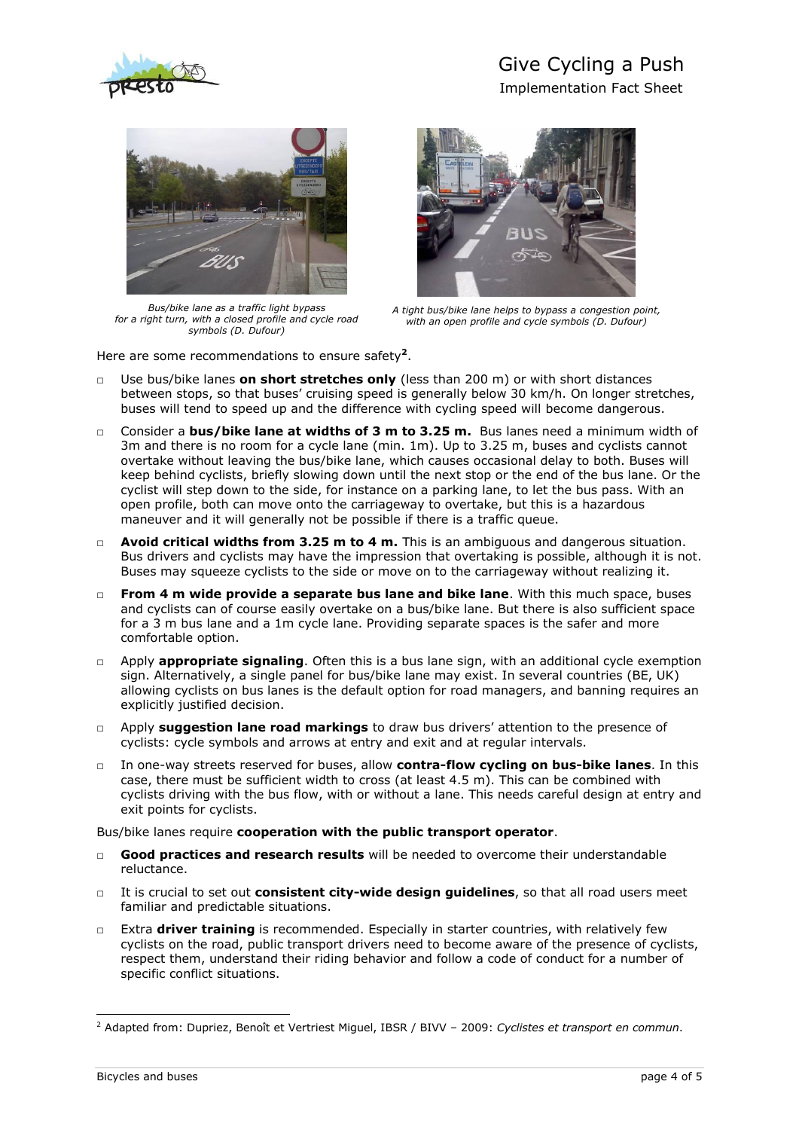

# Give Cycling a Push

Implementation Fact Sheet



*Bus/bike lane as a traffic light bypass for a right turn, with a closed profile and cycle road symbols (D. Dufour)*



*A tight bus/bike lane helps to bypass a congestion point, with an open profile and cycle symbols (D. Dufour)*

Here are some recommendations to ensure safety**<sup>2</sup>** .

- □ Use bus/bike lanes **on short stretches only** (less than 200 m) or with short distances between stops, so that buses' cruising speed is generally below 30 km/h. On longer stretches, buses will tend to speed up and the difference with cycling speed will become dangerous.
- □ Consider a **bus/bike lane at widths of 3 m to 3.25 m.** Bus lanes need a minimum width of 3m and there is no room for a cycle lane (min. 1m). Up to 3.25 m, buses and cyclists cannot overtake without leaving the bus/bike lane, which causes occasional delay to both. Buses will keep behind cyclists, briefly slowing down until the next stop or the end of the bus lane. Or the cyclist will step down to the side, for instance on a parking lane, to let the bus pass. With an open profile, both can move onto the carriageway to overtake, but this is a hazardous maneuver and it will generally not be possible if there is a traffic queue.
- □ **Avoid critical widths from 3.25 m to 4 m.** This is an ambiguous and dangerous situation. Bus drivers and cyclists may have the impression that overtaking is possible, although it is not. Buses may squeeze cyclists to the side or move on to the carriageway without realizing it.
- □ **From 4 m wide provide a separate bus lane and bike lane**. With this much space, buses and cyclists can of course easily overtake on a bus/bike lane. But there is also sufficient space for a 3 m bus lane and a 1m cycle lane. Providing separate spaces is the safer and more comfortable option.
- □ Apply **appropriate signaling**. Often this is a bus lane sign, with an additional cycle exemption sign. Alternatively, a single panel for bus/bike lane may exist. In several countries (BE, UK) allowing cyclists on bus lanes is the default option for road managers, and banning requires an explicitly justified decision.
- □ Apply **suggestion lane road markings** to draw bus drivers' attention to the presence of cyclists: cycle symbols and arrows at entry and exit and at regular intervals.
- □ In one-way streets reserved for buses, allow **contra-flow cycling on bus-bike lanes**. In this case, there must be sufficient width to cross (at least 4.5 m). This can be combined with cyclists driving with the bus flow, with or without a lane. This needs careful design at entry and exit points for cyclists.

Bus/bike lanes require **cooperation with the public transport operator**.

- Good practices and research results will be needed to overcome their understandable reluctance.
- □ It is crucial to set out **consistent city-wide design guidelines**, so that all road users meet familiar and predictable situations.
- □ Extra **driver training** is recommended. Especially in starter countries, with relatively few cyclists on the road, public transport drivers need to become aware of the presence of cyclists, respect them, understand their riding behavior and follow a code of conduct for a number of specific conflict situations.

-

<sup>2</sup> Adapted from: Dupriez, Benoît et Vertriest Miguel, IBSR / BIVV – 2009: *Cyclistes et transport en commun*.